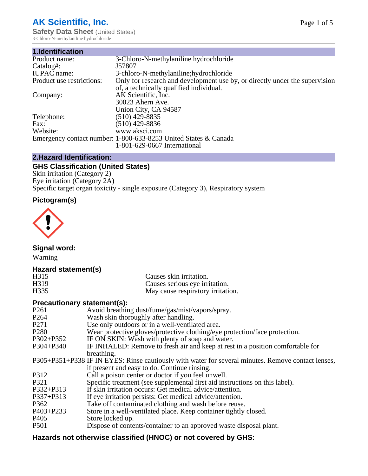# **AK Scientific, Inc.**

**Safety Data Sheet (United States)** 3-Chloro-N-methylaniline hydrochloride

| 1.Identification          |                                                                             |
|---------------------------|-----------------------------------------------------------------------------|
| Product name:             | 3-Chloro-N-methylaniline hydrochloride                                      |
| Catalog#:                 | J57807                                                                      |
| <b>IUPAC</b> name:        | 3-chloro-N-methylaniline; hydrochloride                                     |
| Product use restrictions: | Only for research and development use by, or directly under the supervision |
|                           | of, a technically qualified individual.                                     |
| Company:                  | AK Scientific, Inc.                                                         |
|                           | 30023 Ahern Ave.                                                            |
|                           | Union City, CA 94587                                                        |
| Telephone:                | $(510)$ 429-8835                                                            |
| Fax:                      | $(510)$ 429-8836                                                            |
| Website:                  | www.aksci.com                                                               |
|                           | Emergency contact number: 1-800-633-8253 United States & Canada             |
|                           | 1-801-629-0667 International                                                |

# **2.Hazard Identification:**

# **GHS Classification (United States)**

Skin irritation (Category 2) Eye irritation (Category 2A) Specific target organ toxicity - single exposure (Category 3), Respiratory system

# **Pictogram(s)**



**Signal word:**

Warning

# **Hazard statement(s)**

| H <sub>315</sub>  | Causes skin irritation.           |
|-------------------|-----------------------------------|
| H <sub>3</sub> 19 | Causes serious eye irritation.    |
| H335              | May cause respiratory irritation. |

## **Precautionary statement(s):**

| P <sub>261</sub> | Avoid breathing dust/fume/gas/mist/vapors/spray.                                                   |
|------------------|----------------------------------------------------------------------------------------------------|
| P <sub>264</sub> | Wash skin thoroughly after handling.                                                               |
| P <sub>271</sub> | Use only outdoors or in a well-ventilated area.                                                    |
| P <sub>280</sub> | Wear protective gloves/protective clothing/eye protection/face protection.                         |
| P302+P352        | IF ON SKIN: Wash with plenty of soap and water.                                                    |
| $P304 + P340$    | IF INHALED: Remove to fresh air and keep at rest in a position comfortable for                     |
|                  | breathing.                                                                                         |
|                  | P305+P351+P338 IF IN EYES: Rinse cautiously with water for several minutes. Remove contact lenses, |
|                  | if present and easy to do. Continue rinsing.                                                       |
| P312             | Call a poison center or doctor if you feel unwell.                                                 |
| P321             | Specific treatment (see supplemental first aid instructions on this label).                        |
| P332+P313        | If skin irritation occurs: Get medical advice/attention.                                           |
| P337+P313        | If eye irritation persists: Get medical advice/attention.                                          |
| P362             | Take off contaminated clothing and wash before reuse.                                              |
| $P403 + P233$    | Store in a well-ventilated place. Keep container tightly closed.                                   |
| P <sub>405</sub> | Store locked up.                                                                                   |
| P <sub>501</sub> | Dispose of contents/container to an approved waste disposal plant.                                 |
|                  |                                                                                                    |

# **Hazards not otherwise classified (HNOC) or not covered by GHS:**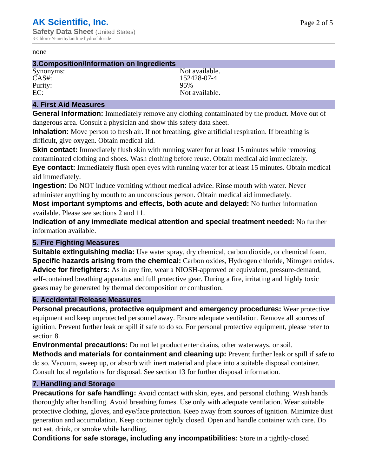#### none

#### **3.Composition/Information on Ingredients**

Purity:<br>EC:

Synonyms: Not available. CAS#: 152428-07-4<br>Purity: 95% 95% Not available.

### **4. First Aid Measures**

**General Information:** Immediately remove any clothing contaminated by the product. Move out of dangerous area. Consult a physician and show this safety data sheet.

**Inhalation:** Move person to fresh air. If not breathing, give artificial respiration. If breathing is difficult, give oxygen. Obtain medical aid.

**Skin contact:** Immediately flush skin with running water for at least 15 minutes while removing contaminated clothing and shoes. Wash clothing before reuse. Obtain medical aid immediately. **Eye contact:** Immediately flush open eyes with running water for at least 15 minutes. Obtain medical aid immediately.

**Ingestion:** Do NOT induce vomiting without medical advice. Rinse mouth with water. Never administer anything by mouth to an unconscious person. Obtain medical aid immediately.

**Most important symptoms and effects, both acute and delayed:** No further information available. Please see sections 2 and 11.

**Indication of any immediate medical attention and special treatment needed:** No further information available.

## **5. Fire Fighting Measures**

**Suitable extinguishing media:** Use water spray, dry chemical, carbon dioxide, or chemical foam. **Specific hazards arising from the chemical:** Carbon oxides, Hydrogen chloride, Nitrogen oxides. **Advice for firefighters:** As in any fire, wear a NIOSH-approved or equivalent, pressure-demand, self-contained breathing apparatus and full protective gear. During a fire, irritating and highly toxic gases may be generated by thermal decomposition or combustion.

#### **6. Accidental Release Measures**

**Personal precautions, protective equipment and emergency procedures:** Wear protective equipment and keep unprotected personnel away. Ensure adequate ventilation. Remove all sources of ignition. Prevent further leak or spill if safe to do so. For personal protective equipment, please refer to section 8.

**Environmental precautions:** Do not let product enter drains, other waterways, or soil.

**Methods and materials for containment and cleaning up:** Prevent further leak or spill if safe to do so. Vacuum, sweep up, or absorb with inert material and place into a suitable disposal container. Consult local regulations for disposal. See section 13 for further disposal information.

#### **7. Handling and Storage**

**Precautions for safe handling:** Avoid contact with skin, eyes, and personal clothing. Wash hands thoroughly after handling. Avoid breathing fumes. Use only with adequate ventilation. Wear suitable protective clothing, gloves, and eye/face protection. Keep away from sources of ignition. Minimize dust generation and accumulation. Keep container tightly closed. Open and handle container with care. Do not eat, drink, or smoke while handling.

**Conditions for safe storage, including any incompatibilities:** Store in a tightly-closed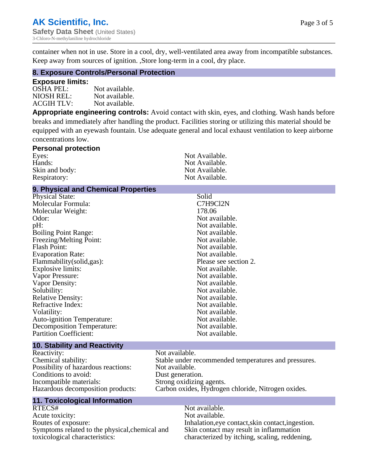container when not in use. Store in a cool, dry, well-ventilated area away from incompatible substances. Keep away from sources of ignition. ,Store long-term in a cool, dry place.

#### **8. Exposure Controls/Personal Protection**

#### **Exposure limits:**

OSHA PEL:<br>NIOSH REL: Not available. Not available. ACGIH TLV: Not available.

**Appropriate engineering controls:** Avoid contact with skin, eyes, and clothing. Wash hands before breaks and immediately after handling the product. Facilities storing or utilizing this material should be equipped with an eyewash fountain. Use adequate general and local exhaust ventilation to keep airborne concentrations low.

| <b>Personal protection</b> |                |
|----------------------------|----------------|
| Eyes:                      | Not Available. |
| Hands:                     | Not Available. |
| Skin and body:             | Not Available. |
| Respiratory:               | Not Available. |

## **9. Physical and Chemical Properties**

| <b>Physical State:</b>            | Solid                 |
|-----------------------------------|-----------------------|
| Molecular Formula:                | C7H9Cl2N              |
| Molecular Weight:                 | 178.06                |
| Odor:                             | Not available.        |
| $pH$ :                            | Not available.        |
| <b>Boiling Point Range:</b>       | Not available.        |
| Freezing/Melting Point:           | Not available.        |
| <b>Flash Point:</b>               | Not available.        |
| <b>Evaporation Rate:</b>          | Not available.        |
| Flammability(solid,gas):          | Please see section 2. |
| Explosive limits:                 | Not available.        |
| Vapor Pressure:                   | Not available.        |
| Vapor Density:                    | Not available.        |
| Solubility:                       | Not available.        |
| <b>Relative Density:</b>          | Not available.        |
| Refractive Index:                 | Not available.        |
| Volatility:                       | Not available.        |
| <b>Auto-ignition Temperature:</b> | Not available.        |
| Decomposition Temperature:        | Not available.        |
| <b>Partition Coefficient:</b>     | Not available.        |
|                                   |                       |

#### **10. Stability and Reactivity**

Reactivity: Not available.<br>
Chemical stability: Stable under re Possibility of hazardous reactions: Conditions to avoid: Dust generation. Incompatible materials: Strong oxidizing agents.

## **11. Toxicological Information**

RTECS# Not available. Acute toxicity: Not available.<br>
Routes of exposure: This is a multiple in the link of exposure in the link of the link of exposure. Symptoms related to the physical,chemical and toxicological characteristics:

Stable under recommended temperatures and pressures.<br>Not available. Hazardous decomposition products: Carbon oxides, Hydrogen chloride, Nitrogen oxides.

> Inhalation,eye contact,skin contact,ingestion. Skin contact may result in inflammation characterized by itching, scaling, reddening,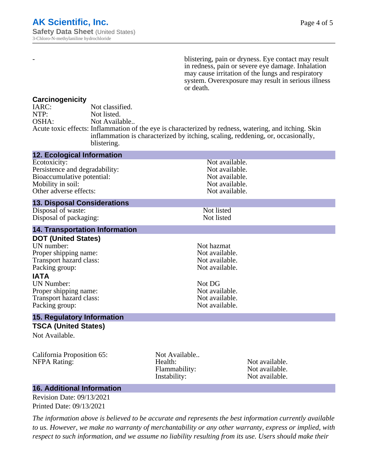- blistering, pain or dryness. Eye contact may result in redness, pain or severe eye damage. Inhalation may cause irritation of the lungs and respiratory system. Overexposure may result in serious illness or death.

#### **Carcinogenicity**

| IARC: | Not classified.                                                                                       |
|-------|-------------------------------------------------------------------------------------------------------|
| NTP:  | Not listed.                                                                                           |
| OSHA: | Not Available                                                                                         |
|       | Acute toxic effects: Inflammation of the eye is characterized by redness, watering, and itching. Skin |
|       | inflammation is characterized by itching, scaling, reddening, or, occasionally,                       |
|       | blistering.                                                                                           |

| <b>12. Ecological Information</b>                                                                                                                                                                                        |                                                           |                                                                                                                        |  |
|--------------------------------------------------------------------------------------------------------------------------------------------------------------------------------------------------------------------------|-----------------------------------------------------------|------------------------------------------------------------------------------------------------------------------------|--|
| Ecotoxicity:<br>Persistence and degradability:<br>Bioaccumulative potential:<br>Mobility in soil:<br>Other adverse effects:                                                                                              |                                                           | Not available.<br>Not available.<br>Not available.<br>Not available.<br>Not available.                                 |  |
| <b>13. Disposal Considerations</b>                                                                                                                                                                                       |                                                           |                                                                                                                        |  |
| Disposal of waste:<br>Disposal of packaging:                                                                                                                                                                             |                                                           | Not listed<br>Not listed                                                                                               |  |
| <b>14. Transportation Information</b>                                                                                                                                                                                    |                                                           |                                                                                                                        |  |
| <b>DOT (United States)</b><br>UN number:<br>Proper shipping name:<br>Transport hazard class:<br>Packing group:<br><b>IATA</b><br><b>UN Number:</b><br>Proper shipping name:<br>Transport hazard class:<br>Packing group: | Not DG                                                    | Not hazmat<br>Not available.<br>Not available.<br>Not available.<br>Not available.<br>Not available.<br>Not available. |  |
| <b>15. Regulatory Information</b>                                                                                                                                                                                        |                                                           |                                                                                                                        |  |
| <b>TSCA (United States)</b><br>Not Available.                                                                                                                                                                            |                                                           |                                                                                                                        |  |
| California Proposition 65:<br><b>NFPA Rating:</b>                                                                                                                                                                        | Not Available<br>Health:<br>Flammability:<br>Instability: | Not available.<br>Not available.<br>Not available.                                                                     |  |

## **16. Additional Information**

Revision Date: 09/13/2021 Printed Date: 09/13/2021

*The information above is believed to be accurate and represents the best information currently available to us. However, we make no warranty of merchantability or any other warranty, express or implied, with respect to such information, and we assume no liability resulting from its use. Users should make their*